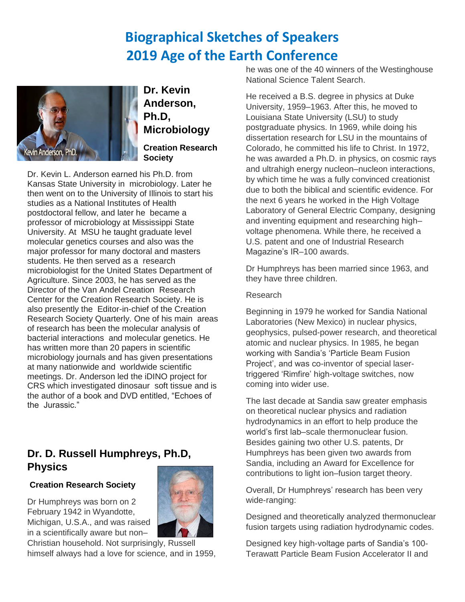# **Biographical Sketches of Speakers 2019 Age of the Earth Conference**



**Dr. Kevin Anderson, Ph.D, Microbiology Creation Research Society**

Dr. Kevin L. Anderson earned his Ph.D. from Kansas State University in microbiology. Later he then went on to the University of Illinois to start his studies as a National Institutes of Health postdoctoral fellow, and later he became a professor of microbiology at Mississippi State University. At MSU he taught graduate level molecular genetics courses and also was the major professor for many doctoral and masters students. He then served as a research microbiologist for the United States Department of Agriculture. Since 2003, he has served as the Director of the Van Andel Creation Research Center for the Creation Research Society. He is also presently the Editor-in-chief of the Creation Research Society Quarterly. One of his main areas of research has been the molecular analysis of bacterial interactions and molecular genetics. He has written more than 20 papers in scientific microbiology journals and has given presentations at many nationwide and worldwide scientific meetings. Dr. Anderson led the iDINO project for CRS which investigated dinosaur soft tissue and is the author of a book and DVD entitled, "Echoes of the Jurassic."

### **Dr. D. Russell Humphreys, Ph.D, Physics**

#### **Creation Research Society**

Dr Humphreys was born on 2 February 1942 in Wyandotte, Michigan, U.S.A., and was raised in a scientifically aware but non–



Christian household. Not surprisingly, Russell himself always had a love for science, and in 1959, he was one of the 40 winners of the Westinghouse National Science Talent Search.

He received a B.S. degree in physics at Duke University, 1959–1963. After this, he moved to Louisiana State University (LSU) to study postgraduate physics. In 1969, while doing his dissertation research for LSU in the mountains of Colorado, he committed his life to Christ. In 1972, he was awarded a Ph.D. in physics, on cosmic rays and ultrahigh energy nucleon–nucleon interactions, by which time he was a fully convinced creationist due to both the biblical and scientific evidence. For the next 6 years he worked in the High Voltage Laboratory of General Electric Company, designing and inventing equipment and researching high– voltage phenomena. While there, he received a U.S. patent and one of Industrial Research Magazine's IR–100 awards.

Dr Humphreys has been married since 1963, and they have three children.

#### Research

Beginning in 1979 he worked for Sandia National Laboratories (New Mexico) in nuclear physics, geophysics, pulsed-power research, and theoretical atomic and nuclear physics. In 1985, he began working with Sandia's 'Particle Beam Fusion Project', and was co-inventor of special lasertriggered 'Rimfire' high-voltage switches, now coming into wider use.

The last decade at Sandia saw greater emphasis on theoretical nuclear physics and radiation hydrodynamics in an effort to help produce the world's first lab–scale thermonuclear fusion. Besides gaining two other U.S. patents, Dr Humphreys has been given two awards from Sandia, including an Award for Excellence for contributions to light ion–fusion target theory.

Overall, Dr Humphreys' research has been very wide-ranging:

Designed and theoretically analyzed thermonuclear fusion targets using radiation hydrodynamic codes.

Designed key high-voltage parts of Sandia's 100- Terawatt Particle Beam Fusion Accelerator II and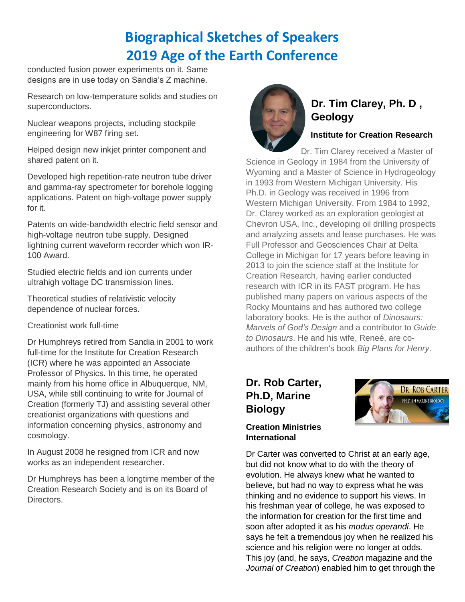# **Biographical Sketches of Speakers 2019 Age of the Earth Conference**

conducted fusion power experiments on it. Same designs are in use today on Sandia's Z machine.

Research on low-temperature solids and studies on superconductors.

Nuclear weapons projects, including stockpile engineering for W87 firing set.

Helped design new inkjet printer component and shared patent on it.

Developed high repetition-rate neutron tube driver and gamma-ray spectrometer for borehole logging applications. Patent on high-voltage power supply for it.

Patents on wide-bandwidth electric field sensor and high-voltage neutron tube supply. Designed lightning current waveform recorder which won IR-100 Award.

Studied electric fields and ion currents under ultrahigh voltage DC transmission lines.

Theoretical studies of relativistic velocity dependence of nuclear forces.

Creationist work full-time

Dr Humphreys retired from Sandia in 2001 to work full-time for the Institute for Creation Research (ICR) where he was appointed an Associate Professor of Physics. In this time, he operated mainly from his home office in Albuquerque, NM, USA, while still continuing to write for Journal of Creation (formerly TJ) and assisting several other creationist organizations with questions and information concerning physics, astronomy and cosmology.

In August 2008 he resigned from ICR and now works as an independent researcher.

Dr Humphreys has been a longtime member of the Creation Research Society and is on its Board of Directors.



## **Dr. Tim Clarey, Ph. D , Geology**

#### **Institute for Creation Research**

Dr. Tim Clarey received a Master of Science in Geology in 1984 from the University of Wyoming and a Master of Science in Hydrogeology in 1993 from Western Michigan University. His Ph.D. in Geology was received in 1996 from Western Michigan University. From 1984 to 1992, Dr. Clarey worked as an exploration geologist at Chevron USA, Inc., developing oil drilling prospects and analyzing assets and lease purchases. He was Full Professor and Geosciences Chair at Delta College in Michigan for 17 years before leaving in 2013 to join the science staff at the Institute for Creation Research, having earlier conducted research with ICR in its FAST program. He has published many papers on various aspects of the Rocky Mountains and has authored two college laboratory books. He is the author of *Dinosaurs: Marvels of God's Design* and a contributor to *Guide to Dinosaurs*. He and his wife, Reneé, are coauthors of the children's book *Big Plans for Henry*.

## **Dr. Rob Carter, Ph.D, Marine Biology**

# DR. ROB CARTER PH.D. IN MARINE BIOLOGY

#### **Creation Ministries International**

Dr Carter was converted to Christ at an early age, but did not know what to do with the theory of evolution. He always knew what he wanted to believe, but had no way to express what he was thinking and no evidence to support his views. In his freshman year of college, he was exposed to the information for creation for the first time and soon after adopted it as his *modus operandi*. He says he felt a tremendous joy when he realized his science and his religion were no longer at odds. This joy (and, he says, *Creation* magazine and the *Journal of Creation*) enabled him to get through the